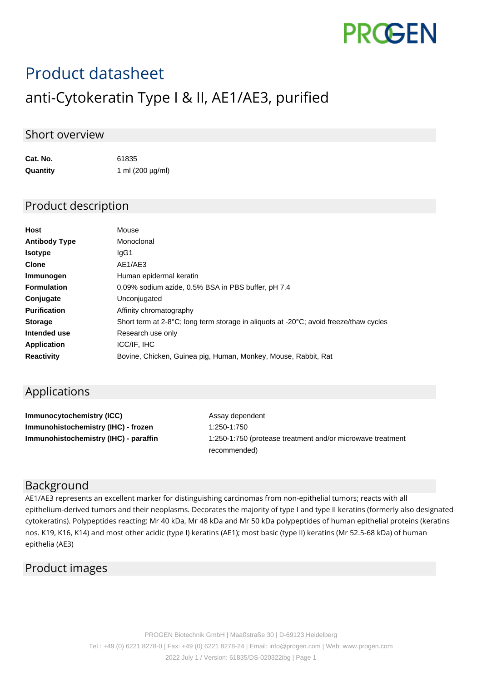

# Product datasheet

# anti-Cytokeratin Type I & II, AE1/AE3, purified

#### Short overview

| Cat. No. | 61835                 |
|----------|-----------------------|
| Quantity | 1 ml $(200 \mu g/ml)$ |

#### Product description

| <b>Host</b>          | Mouse                                                                                                       |
|----------------------|-------------------------------------------------------------------------------------------------------------|
| <b>Antibody Type</b> | Monoclonal                                                                                                  |
| <b>Isotype</b>       | lgG1                                                                                                        |
| <b>Clone</b>         | AE1/AE3                                                                                                     |
| Immunogen            | Human epidermal keratin                                                                                     |
| <b>Formulation</b>   | 0.09% sodium azide, 0.5% BSA in PBS buffer, pH 7.4                                                          |
| Conjugate            | Unconjugated                                                                                                |
| <b>Purification</b>  | Affinity chromatography                                                                                     |
| <b>Storage</b>       | Short term at 2-8 $^{\circ}$ C; long term storage in aliguots at -20 $^{\circ}$ C; avoid freeze/thaw cycles |
| Intended use         | Research use only                                                                                           |
| <b>Application</b>   | ICC/IF, IHC                                                                                                 |
| <b>Reactivity</b>    | Bovine, Chicken, Guinea pig, Human, Monkey, Mouse, Rabbit, Rat                                              |

## Applications

**Immunocytochemistry (ICC)** Assay dependent **Immunohistochemistry (IHC) - frozen** 1:250-1:750

**Immunohistochemistry (IHC) - paraffin** 1:250-1:750 (protease treatment and/or microwave treatment recommended)

## Background

AE1/AE3 represents an excellent marker for distinguishing carcinomas from non-epithelial tumors; reacts with all epithelium-derived tumors and their neoplasms. Decorates the majority of type I and type II keratins (formerly also designated cytokeratins). Polypeptides reacting: Mr 40 kDa, Mr 48 kDa and Mr 50 kDa polypeptides of human epithelial proteins (keratins nos. K19, K16, K14) and most other acidic (type I) keratins (AE1); most basic (type II) keratins (Mr 52.5-68 kDa) of human epithelia (AE3)

#### Product images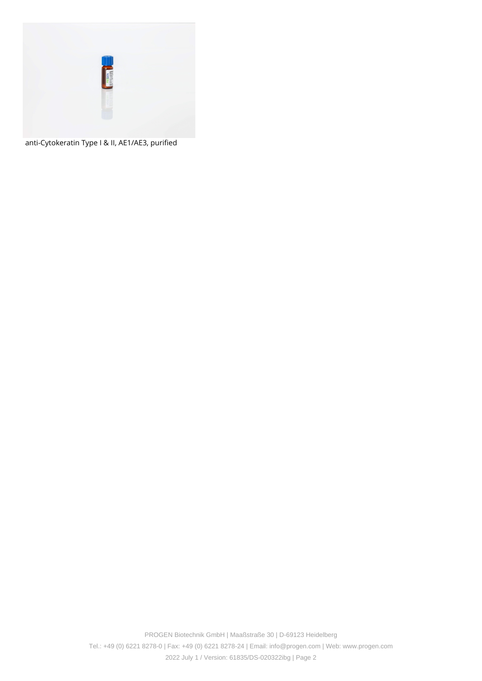

anti-Cytokeratin Type I & II, AE1/AE3, purified